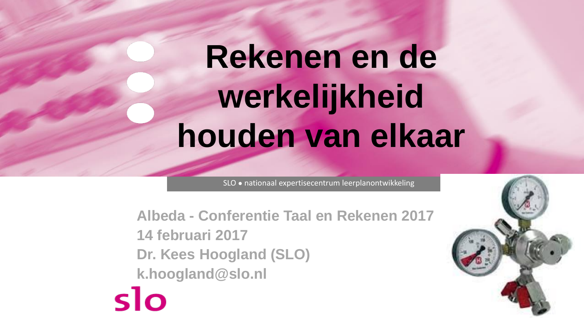# **Rekenen en de werkelijkheid houden van elkaar**

SLO ● nationaal expertisecentrum leerplanontwikkeling

**Albeda - Conferentie Taal en Rekenen 2017 14 februari 2017 Dr. Kees Hoogland (SLO) k.hoogland@slo.nl**

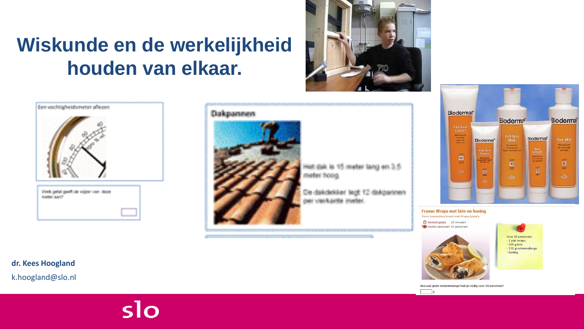### **Wiskunde en de werkelijkheid houden van elkaar.**







Hiel dak is 15 meter lang en 3.5 when hough

De dakdekker ledt 12 dakgannen per vantuuria mater



Franse Wraps met brie en honing Frans tussendoor/snack met Wraps/pizza's

**9 Bereidingstijd** 15 minuten 101 Aantal personen 10 personen



 $\overline{g}$ 

Hoeveel gram notenmelange heb je nodig voor 20 personen?

Voor 10 personen: - 1 pak wraps  $-200$  g brie - 150 g notenmelange - honing

**dr. Kees Hoogland**

k.hoogland@slo.nl

### slo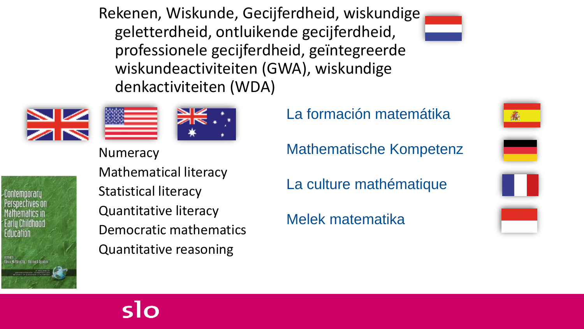Rekenen, Wiskunde, Gecijferdheid, wiskundige geletterdheid, ontluikende gecijferdheid, professionele gecijferdheid, geïntegreerde wiskundeactiviteiten (GWA), wiskundige denkactiviteiten (WDA)







**Numeracy** 

Liontemnoraru Farlu Childhood Fducanon Ive N-Stracht - Bernerd Spotek

Mathematical literacy Statistical literacy Quantitative literacy Democratic mathematics Quantitative reasoning

La formación matemátika

Mathematische Kompetenz

La culture mathématique

Melek matematika

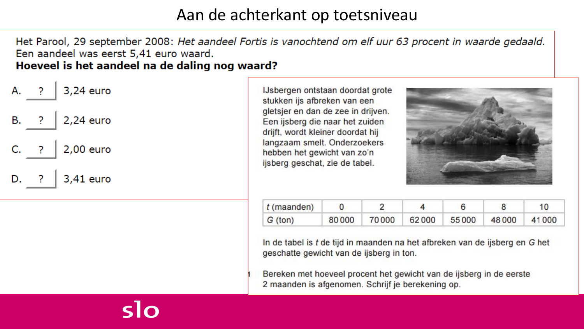#### Aan de achterkant op toetsniveau

Het Parool, 29 september 2008: Het aandeel Fortis is vanochtend om elf uur 63 procent in waarde gedaald. Een aandeel was eerst 5,41 euro waard. Hoeveel is het aandeel na de daling nog waard?



ടിറ

IJsbergen ontstaan doordat grote stukken ijs afbreken van een gletsjer en dan de zee in drijven. Een ijsberg die naar het zuiden drijft, wordt kleiner doordat hij langzaam smelt. Onderzoekers hebben het gewicht van zo'n ijsberg geschat, zie de tabel.



| $t$ (maanden) |  |                                           |  |  |
|---------------|--|-------------------------------------------|--|--|
| $G$ (ton)     |  | 80 000 70 000 62 000 55 000 48 000 41 000 |  |  |

In de tabel is t de tijd in maanden na het afbreken van de ijsberg en G het geschatte gewicht van de ijsberg in ton.

Bereken met hoeveel procent het gewicht van de ijsberg in de eerste 2 maanden is afgenomen. Schrijf je berekening op.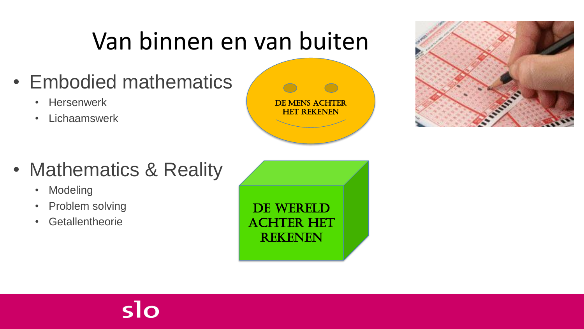# Van binnen en van buiten

- Embodied mathematics
	- Hersenwerk
	- Lichaamswerk





- Mathematics & Reality
	- Modeling
	- Problem solving
	- Getallentheorie

DE WERELD achter het rekenen

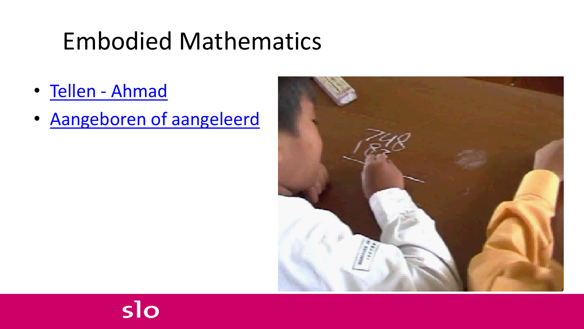# Embodied Mathematics

- [Tellen -](video 2006 11 24 IND fingers and toes.avi) Ahmad
- [Aangeboren of aangeleerd](Sub Aangeboren en aangeleerd.ppt)

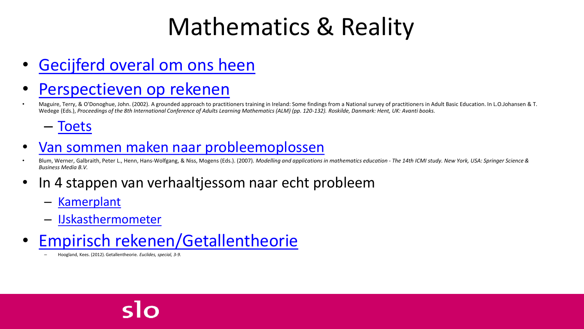# Mathematics & Reality

• [Gecijferd overal om ons heen](sub Gecijferdheid overal om je heen.ppt)

#### • [Perspectieven op rekenen](Sub Sophistication of numeracy concepts NL.ppt)

• Maguire, Terry, & O'Donoghue, John. (2002). A grounded approach to practitioners training in Ireland: Some findings from a National survey of practitioners in Adult Basic Education. In L.O.Johansen & T. Wedege (Eds.), *Proceedings of the 8th International Conference of Adults Learning Mathematics (ALM) (pp. 120-132). Roskilde, Danmark: Hent, UK: Avanti books.*

– [Toets](Sub Toets voor framework Gecijferdheid NL.ppt)

#### • [Van sommen maken naar probleemoplossen](Sub Van sommen maken naar probleemoplossen.pptx)

Blum, Werner, Galbraith, Peter L., Henn, Hans-Wolfgang, & Niss, Mogens (Eds.). (2007). Modelling and applications in mathematics education - The 14th ICMI study. New York, USA: Springer Science & *Business Media B.V.*

- In 4 stappen van verhaaltjessom naar echt probleem
	- [Kamerplant](sub voorstelbare vragen Korting kamerplant  discount.ppt)
	- [IJskasthermometer](sub voorstelbare vragen IJskastthermometers.ppt)
- [Empirisch rekenen/Getallentheorie](Sub Getallentheorie.ppt)
	- Hoogland, Kees. (2012). Getallentheorie. *Euclides, special, 3-9.*